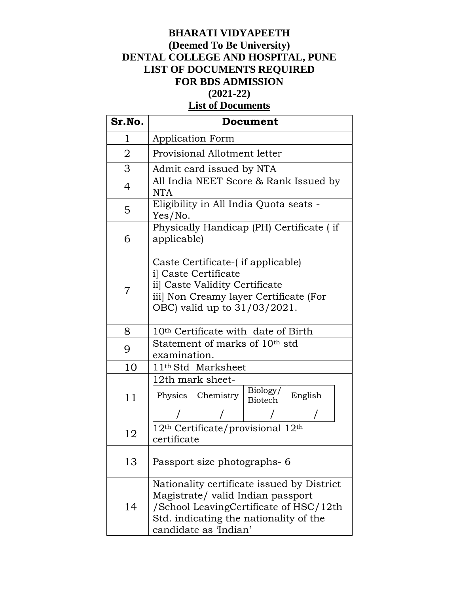## **BHARATI VIDYAPEETH (Deemed To Be University) DENTAL COLLEGE AND HOSPITAL, PUNE LIST OF DOCUMENTS REQUIRED FOR BDS ADMISSION (2021-22)**

## **List of Documents**

| Sr.No.         | Document                                                                                                                                                                                     |
|----------------|----------------------------------------------------------------------------------------------------------------------------------------------------------------------------------------------|
| 1              | <b>Application Form</b>                                                                                                                                                                      |
| $\overline{2}$ | Provisional Allotment letter                                                                                                                                                                 |
| 3              | Admit card issued by NTA                                                                                                                                                                     |
| $\overline{4}$ | All India NEET Score & Rank Issued by<br><b>NTA</b>                                                                                                                                          |
| 5              | Eligibility in All India Quota seats -<br>Yes/No.                                                                                                                                            |
| 6              | Physically Handicap (PH) Certificate (if<br>applicable)                                                                                                                                      |
| $\overline{7}$ | Caste Certificate-(if applicable)<br>i] Caste Certificate<br>iil Caste Validity Certificate<br>iii] Non Creamy layer Certificate (For<br>OBC) valid up to $31/03/2021$ .                     |
| 8              | 10th Certificate with date of Birth                                                                                                                                                          |
| 9              | Statement of marks of 10 <sup>th</sup> std<br>examination.                                                                                                                                   |
| 10             | 11 <sup>th</sup> Std Marksheet                                                                                                                                                               |
| 11             | 12th mark sheet-<br>Biology/<br>English<br>Chemistry<br>Physics<br><b>Biotech</b>                                                                                                            |
| 12             | 12 <sup>th</sup> Certificate/provisional 12 <sup>th</sup><br>certificate                                                                                                                     |
| 13             | Passport size photographs- 6                                                                                                                                                                 |
| 14             | Nationality certificate issued by District<br>Magistrate/ valid Indian passport<br>/School LeavingCertificate of HSC/12th<br>Std. indicating the nationality of the<br>candidate as 'Indian' |